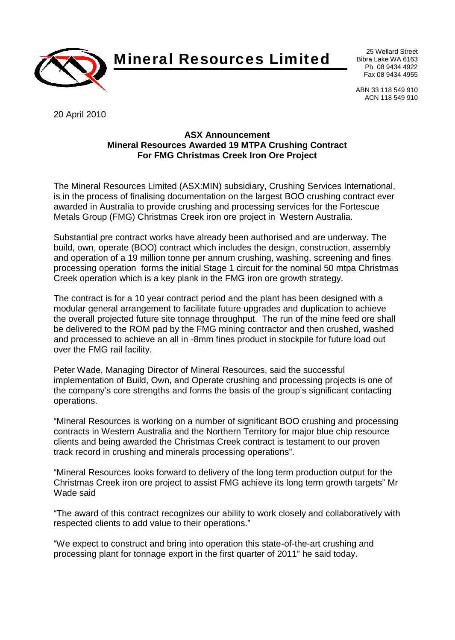

**Mineral Resources Limited** <sup>25 Wellard Street</sup>

Bibra Lake WA 6163 Ph 08 9434 4922 Fax 08 9434 4955

ABN 33 118 549 910 ACN 118 549 910

20 April 2010

## **ASX Announcement Mineral Resources Awarded 19 MTPA Crushing Contract For FMG Christmas Creek Iron Ore Project**

The Mineral Resources Limited (ASX:MIN) subsidiary, Crushing Services International, is in the process of finalising documentation on the largest BOO crushing contract ever awarded in Australia to provide crushing and processing services for the Fortescue Metals Group (FMG) Christmas Creek iron ore project in Western Australia.

Substantial pre contract works have already been authorised and are underway. The build, own, operate (BOO) contract which includes the design, construction, assembly and operation of a 19 million tonne per annum crushing, washing, screening and fines processing operation forms the initial Stage 1 circuit for the nominal 50 mtpa Christmas Creek operation which is a key plank in the FMG iron ore growth strategy.

The contract is for a 10 year contract period and the plant has been designed with a modular general arrangement to facilitate future upgrades and duplication to achieve the overall projected future site tonnage throughput. The run of the mine feed ore shall be delivered to the ROM pad by the FMG mining contractor and then crushed, washed and processed to achieve an all in -8mm fines product in stockpile for future load out over the FMG rail facility.

Peter Wade, Managing Director of Mineral Resources, said the successful implementation of Build, Own, and Operate crushing and processing projects is one of the company's core strengths and forms the basis of the group's significant contacting operations.

"Mineral Resources is working on a number of significant BOO crushing and processing contracts in Western Australia and the Northern Territory for major blue chip resource clients and being awarded the Christmas Creek contract is testament to our proven track record in crushing and minerals processing operations".

"Mineral Resources looks forward to delivery of the long term production output for the Christmas Creek iron ore project to assist FMG achieve its long term growth targets" Mr Wade said

"The award of this contract recognizes our ability to work closely and collaboratively with respected clients to add value to their operations."

"We expect to construct and bring into operation this state-of-the-art crushing and processing plant for tonnage export in the first quarter of 2011" he said today.